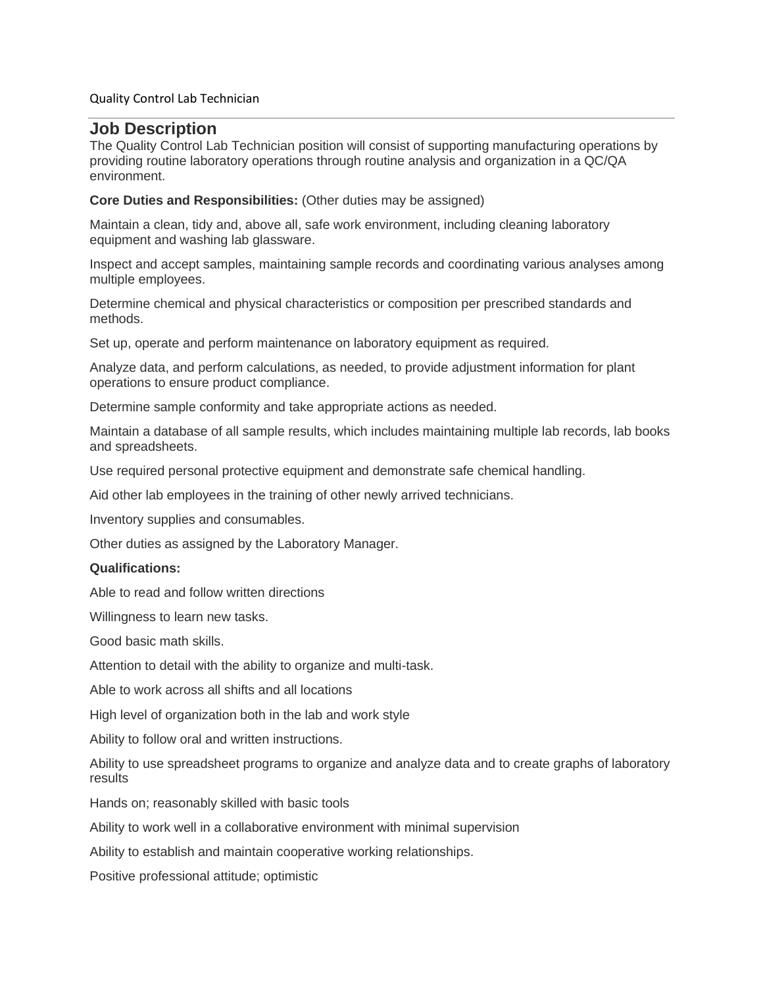#### Quality Control Lab Technician

# **Job Description**

The Quality Control Lab Technician position will consist of supporting manufacturing operations by providing routine laboratory operations through routine analysis and organization in a QC/QA environment.

#### **Core Duties and Responsibilities:** (Other duties may be assigned)

Maintain a clean, tidy and, above all, safe work environment, including cleaning laboratory equipment and washing lab glassware.

Inspect and accept samples, maintaining sample records and coordinating various analyses among multiple employees.

Determine chemical and physical characteristics or composition per prescribed standards and methods.

Set up, operate and perform maintenance on laboratory equipment as required.

Analyze data, and perform calculations, as needed, to provide adjustment information for plant operations to ensure product compliance.

Determine sample conformity and take appropriate actions as needed.

Maintain a database of all sample results, which includes maintaining multiple lab records, lab books and spreadsheets.

Use required personal protective equipment and demonstrate safe chemical handling.

Aid other lab employees in the training of other newly arrived technicians.

Inventory supplies and consumables.

Other duties as assigned by the Laboratory Manager.

#### **Qualifications:**

Able to read and follow written directions

Willingness to learn new tasks.

Good basic math skills.

Attention to detail with the ability to organize and multi-task.

Able to work across all shifts and all locations

High level of organization both in the lab and work style

Ability to follow oral and written instructions.

Ability to use spreadsheet programs to organize and analyze data and to create graphs of laboratory results

Hands on; reasonably skilled with basic tools

Ability to work well in a collaborative environment with minimal supervision

Ability to establish and maintain cooperative working relationships.

Positive professional attitude; optimistic